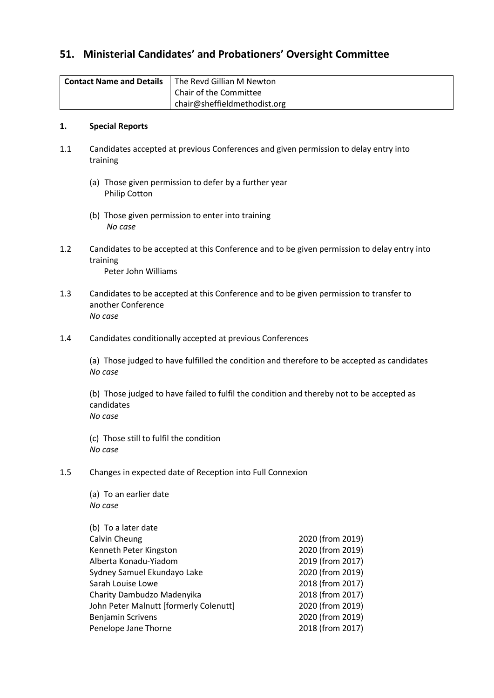# **51. Ministerial Candidates' and Probationers' Oversight Committee**

| <b>Contact Name and Details</b> | The Revd Gillian M Newton    |
|---------------------------------|------------------------------|
|                                 | Chair of the Committee       |
|                                 | chair@sheffieldmethodist.org |

### **1. Special Reports**

- 1.1 Candidates accepted at previous Conferences and given permission to delay entry into training
	- (a) Those given permission to defer by a further year Philip Cotton
	- (b) Those given permission to enter into training *No case*
- 1.2 Candidates to be accepted at this Conference and to be given permission to delay entry into training Peter John Williams
- 1.3 Candidates to be accepted at this Conference and to be given permission to transfer to another Conference *No case*
- 1.4 Candidates conditionally accepted at previous Conferences

(a) Those judged to have fulfilled the condition and therefore to be accepted as candidates *No case*

(b) Those judged to have failed to fulfil the condition and thereby not to be accepted as candidates *No case*

(c) Those still to fulfil the condition *No case*

1.5 Changes in expected date of Reception into Full Connexion

(a) To an earlier date *No case*

| (b) To a later date                    |                  |
|----------------------------------------|------------------|
| Calvin Cheung                          | 2020 (from 2019) |
| Kenneth Peter Kingston                 | 2020 (from 2019) |
| Alberta Konadu-Yiadom                  | 2019 (from 2017) |
| Sydney Samuel Ekundayo Lake            | 2020 (from 2019) |
| Sarah Louise Lowe                      | 2018 (from 2017) |
| Charity Dambudzo Madenyika             | 2018 (from 2017) |
| John Peter Malnutt [formerly Colenutt] | 2020 (from 2019) |
| Benjamin Scrivens                      | 2020 (from 2019) |
| Penelope Jane Thorne                   | 2018 (from 2017) |
|                                        |                  |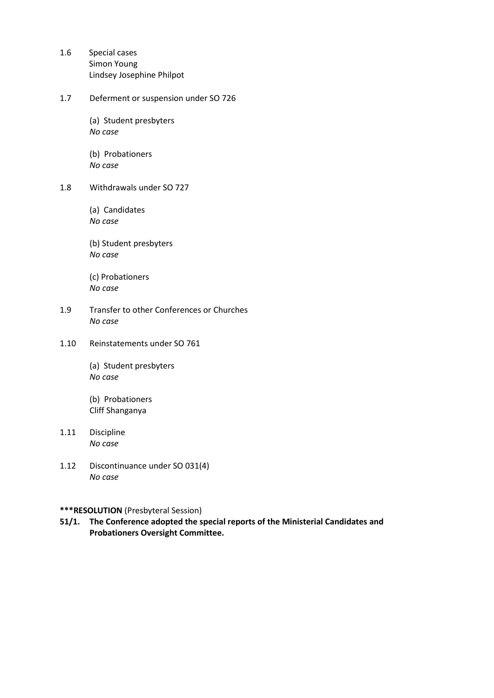- 1.6 Special cases Simon Young Lindsey Josephine Philpot
- 1.7 Deferment or suspension under SO 726
	- (a) Student presbyters *No case*
	- (b) Probationers *No case*
- 1.8 Withdrawals under SO 727
	- (a) Candidates *No case*
	- (b) Student presbyters *No case*
	- (c) Probationers *No case*
- 1.9 Transfer to other Conferences or Churches *No case*
- 1.10 Reinstatements under SO 761
	- (a) Student presbyters *No case*
	- (b) Probationers Cliff Shanganya
- 1.11 Discipline *No case*
- 1.12 Discontinuance under SO 031(4) *No case*

### **\*\*\*RESOLUTION** (Presbyteral Session)

**51/1. The Conference adopted the special reports of the Ministerial Candidates and Probationers Oversight Committee.**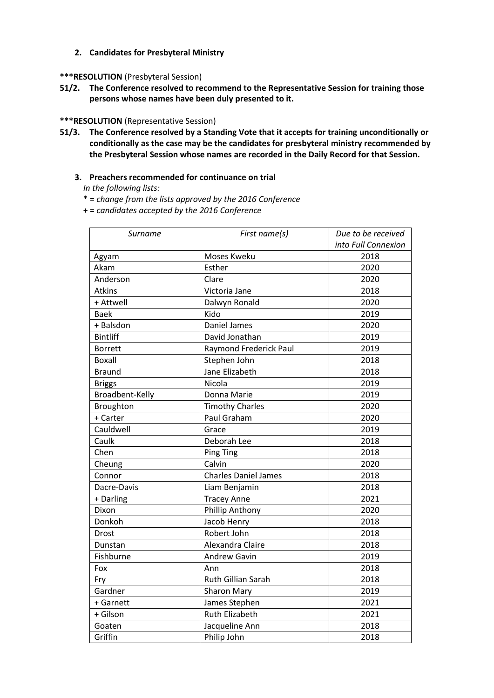#### **2. Candidates for Presbyteral Ministry**

#### **\*\*\*RESOLUTION** (Presbyteral Session)

**51/2. The Conference resolved to recommend to the Representative Session for training those persons whose names have been duly presented to it.**

#### **\*\*\*RESOLUTION** (Representative Session)

**51/3. The Conference resolved by a Standing Vote that it accepts for training unconditionally or conditionally as the case may be the candidates for presbyteral ministry recommended by the Presbyteral Session whose names are recorded in the Daily Record for that Session.**

#### **3. Preachers recommended for continuance on trial**

*In the following lists:*

\* = *change from the lists approved by the 2016 Conference*

+ = *candidates accepted by the 2016 Conference* 

| Surname         | First name(s)               | Due to be received  |
|-----------------|-----------------------------|---------------------|
|                 |                             | into Full Connexion |
| Agyam           | Moses Kweku                 | 2018                |
| Akam            | Esther                      | 2020                |
| Anderson        | Clare                       | 2020                |
| <b>Atkins</b>   | Victoria Jane               | 2018                |
| + Attwell       | Dalwyn Ronald               | 2020                |
| Baek            | Kido                        | 2019                |
| + Balsdon       | Daniel James                | 2020                |
| <b>Bintliff</b> | David Jonathan              | 2019                |
| <b>Borrett</b>  | Raymond Frederick Paul      | 2019                |
| <b>Boxall</b>   | Stephen John                | 2018                |
| <b>Braund</b>   | Jane Elizabeth              | 2018                |
| <b>Briggs</b>   | Nicola                      | 2019                |
| Broadbent-Kelly | Donna Marie                 | 2019                |
| Broughton       | <b>Timothy Charles</b>      | 2020                |
| + Carter        | Paul Graham                 | 2020                |
| Cauldwell       | Grace                       | 2019                |
| Caulk           | Deborah Lee                 | 2018                |
| Chen            | <b>Ping Ting</b>            | 2018                |
| Cheung          | Calvin                      | 2020                |
| Connor          | <b>Charles Daniel James</b> | 2018                |
| Dacre-Davis     | Liam Benjamin               | 2018                |
| + Darling       | <b>Tracey Anne</b>          | 2021                |
| Dixon           | Phillip Anthony             | 2020                |
| Donkoh          | Jacob Henry                 | 2018                |
| Drost           | Robert John                 | 2018                |
| Dunstan         | Alexandra Claire            | 2018                |
| Fishburne       | <b>Andrew Gavin</b>         | 2019                |
| Fox             | Ann                         | 2018                |
| Fry             | Ruth Gillian Sarah          | 2018                |
| Gardner         | <b>Sharon Mary</b>          | 2019                |
| + Garnett       | James Stephen               | 2021                |
| + Gilson        | <b>Ruth Elizabeth</b>       | 2021                |
| Goaten          | Jacqueline Ann              | 2018                |
| Griffin         | Philip John                 | 2018                |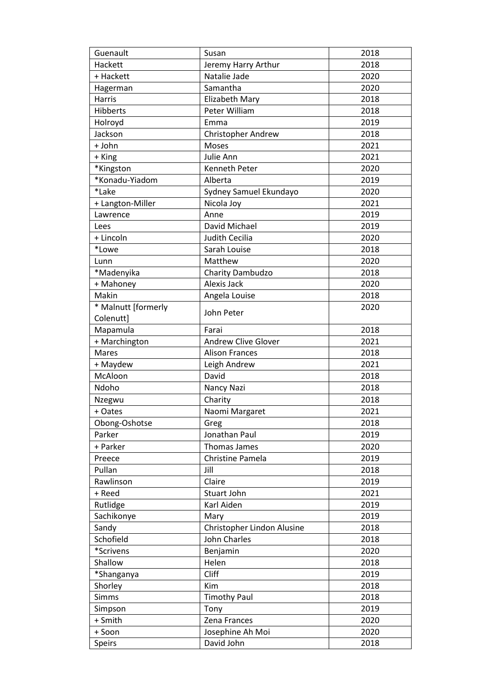| Guenault            | Susan                      | 2018 |
|---------------------|----------------------------|------|
| Hackett             | Jeremy Harry Arthur        | 2018 |
| + Hackett           | Natalie Jade               | 2020 |
| Hagerman            | Samantha                   | 2020 |
| Harris              | Elizabeth Mary             | 2018 |
| Hibberts            | Peter William              | 2018 |
| Holroyd             | Emma                       | 2019 |
| Jackson             | <b>Christopher Andrew</b>  | 2018 |
| + John              | Moses                      | 2021 |
| + King              | Julie Ann                  | 2021 |
| *Kingston           | Kenneth Peter              | 2020 |
| *Konadu-Yiadom      | Alberta                    | 2019 |
| *Lake               | Sydney Samuel Ekundayo     | 2020 |
| + Langton-Miller    | Nicola Joy                 | 2021 |
| Lawrence            | Anne                       | 2019 |
| Lees                | David Michael              | 2019 |
| + Lincoln           | Judith Cecilia             | 2020 |
| *Lowe               | Sarah Louise               | 2018 |
| Lunn                | Matthew                    | 2020 |
| *Madenyika          | Charity Dambudzo           | 2018 |
| + Mahoney           | Alexis Jack                | 2020 |
| Makin               |                            | 2018 |
|                     | Angela Louise              |      |
| * Malnutt [formerly | John Peter                 | 2020 |
| Colenutt]           |                            |      |
| Mapamula            | Farai                      | 2018 |
| + Marchington       | <b>Andrew Clive Glover</b> | 2021 |
| <b>Mares</b>        | <b>Alison Frances</b>      | 2018 |
| + Maydew            | Leigh Andrew               | 2021 |
| McAloon             | David                      | 2018 |
| Ndoho               | Nancy Nazi                 | 2018 |
| Nzegwu              | Charity                    | 2018 |
| + Oates             | Naomi Margaret             | 2021 |
| Obong-Oshotse       | Greg                       | 2018 |
| Parker              | Jonathan Paul              | 2019 |
| + Parker            | Thomas James               | 2020 |
| Preece              | Christine Pamela           | 2019 |
| Pullan              | Jill                       | 2018 |
| Rawlinson           | Claire                     | 2019 |
| + Reed              | Stuart John                | 2021 |
| Rutlidge            | Karl Aiden                 | 2019 |
| Sachikonye          | Mary                       | 2019 |
| Sandy               | Christopher Lindon Alusine | 2018 |
| Schofield           | John Charles               | 2018 |
| *Scrivens           | Benjamin                   | 2020 |
| Shallow             | Helen                      | 2018 |
| *Shanganya          | Cliff                      | 2019 |
| Shorley             | Kim                        | 2018 |
| <b>Simms</b>        | <b>Timothy Paul</b>        | 2018 |
| Simpson             | Tony                       | 2019 |
| + Smith             | Zena Frances               | 2020 |
| + Soon              | Josephine Ah Moi           | 2020 |
| Speirs              | David John                 | 2018 |
|                     |                            |      |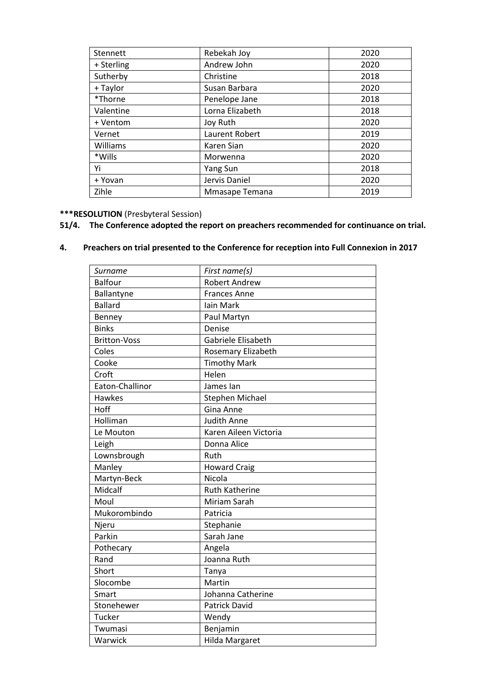| Stennett   | Rebekah Joy     | 2020 |
|------------|-----------------|------|
| + Sterling | Andrew John     | 2020 |
| Sutherby   | Christine       | 2018 |
| + Taylor   | Susan Barbara   | 2020 |
| *Thorne    | Penelope Jane   | 2018 |
| Valentine  | Lorna Elizabeth | 2018 |
| + Ventom   | Joy Ruth        | 2020 |
| Vernet     | Laurent Robert  | 2019 |
| Williams   | Karen Sian      | 2020 |
| *Wills     | Morwenna        | 2020 |
| Yi         | <b>Yang Sun</b> | 2018 |
| + Yovan    | Jervis Daniel   | 2020 |
| Zihle      | Mmasape Temana  | 2019 |

## **\*\*\*RESOLUTION** (Presbyteral Session)

# **51/4. The Conference adopted the report on preachers recommended for continuance on trial.**

## **4. Preachers on trial presented to the Conference for reception into Full Connexion in 2017**

| Surname             | First name(s)          |
|---------------------|------------------------|
| <b>Balfour</b>      | <b>Robert Andrew</b>   |
| Ballantyne          | <b>Frances Anne</b>    |
| <b>Ballard</b>      | Iain Mark              |
| Benney              | Paul Martyn            |
| <b>Binks</b>        | Denise                 |
| <b>Britton-Voss</b> | Gabriele Elisabeth     |
| Coles               | Rosemary Elizabeth     |
| Cooke               | <b>Timothy Mark</b>    |
| Croft               | Helen                  |
| Eaton-Challinor     | James lan              |
| <b>Hawkes</b>       | <b>Stephen Michael</b> |
| Hoff                | Gina Anne              |
| Holliman            | <b>Judith Anne</b>     |
| Le Mouton           | Karen Aileen Victoria  |
| Leigh               | Donna Alice            |
| Lownsbrough         | Ruth                   |
| Manley              | <b>Howard Craig</b>    |
| Martyn-Beck         | Nicola                 |
| Midcalf             | <b>Ruth Katherine</b>  |
| Moul                | Miriam Sarah           |
| Mukorombindo        | Patricia               |
| Njeru               | Stephanie              |
| Parkin              | Sarah Jane             |
| Pothecary           | Angela                 |
| Rand                | Joanna Ruth            |
| Short               | Tanya                  |
| Slocombe            | Martin                 |
| Smart               | Johanna Catherine      |
| Stonehewer          | <b>Patrick David</b>   |
| Tucker              | Wendy                  |
| Twumasi             | Benjamin               |
| Warwick             | Hilda Margaret         |